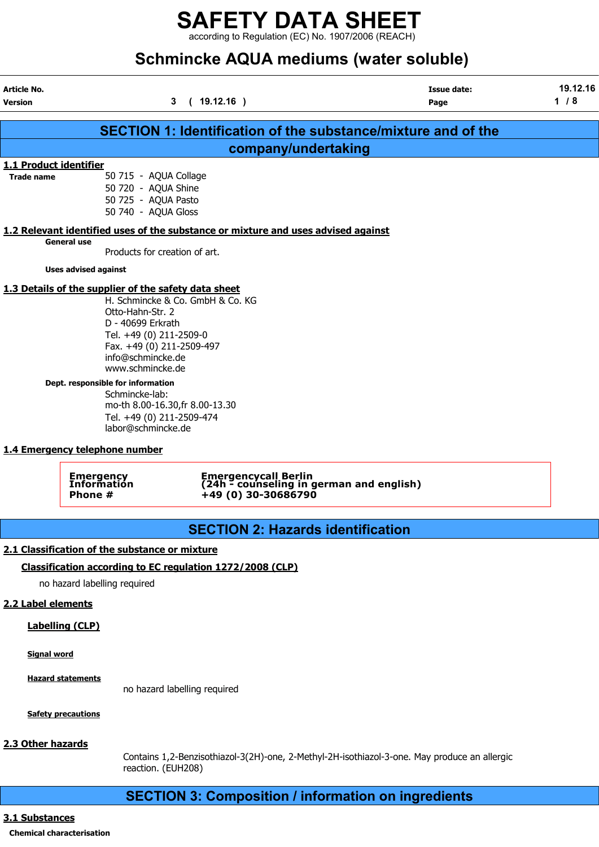according to Regulation (EC) No. 1907/2006 (REACH)

# Schmincke AQUA mediums (water soluble)

| <b>Article No.</b><br><b>Version</b>        |                                                                                                                                                                                                                                                                                                                                                                               | (19.12.16)<br>3                                                                   | <b>Issue date:</b><br>Page                                       | 19.12.16<br>$1/8$ |
|---------------------------------------------|-------------------------------------------------------------------------------------------------------------------------------------------------------------------------------------------------------------------------------------------------------------------------------------------------------------------------------------------------------------------------------|-----------------------------------------------------------------------------------|------------------------------------------------------------------|-------------------|
|                                             |                                                                                                                                                                                                                                                                                                                                                                               |                                                                                   |                                                                  |                   |
|                                             |                                                                                                                                                                                                                                                                                                                                                                               |                                                                                   | SECTION 1: Identification of the substance/mixture and of the    |                   |
|                                             |                                                                                                                                                                                                                                                                                                                                                                               |                                                                                   | company/undertaking                                              |                   |
| 1.1 Product identifier<br><b>Trade name</b> | 50 715 - AQUA Collage<br>50 720 - AQUA Shine<br>50 725 - AQUA Pasto<br>50 740 - AQUA Gloss                                                                                                                                                                                                                                                                                    |                                                                                   |                                                                  |                   |
|                                             |                                                                                                                                                                                                                                                                                                                                                                               | 1.2 Relevant identified uses of the substance or mixture and uses advised against |                                                                  |                   |
|                                             | <b>General use</b><br>Products for creation of art.                                                                                                                                                                                                                                                                                                                           |                                                                                   |                                                                  |                   |
|                                             | <b>Uses advised against</b>                                                                                                                                                                                                                                                                                                                                                   |                                                                                   |                                                                  |                   |
|                                             | 1.3 Details of the supplier of the safety data sheet<br>Otto-Hahn-Str. 2<br>D - 40699 Erkrath<br>Tel. +49 (0) 211-2509-0<br>Fax. +49 (0) 211-2509-497<br>info@schmincke.de<br>www.schmincke.de<br>Dept. responsible for information<br>Schmincke-lab:<br>mo-th 8.00-16.30, fr 8.00-13.30<br>Tel. +49 (0) 211-2509-474<br>labor@schmincke.de<br>1.4 Emergency telephone number | H. Schmincke & Co. GmbH & Co. KG                                                  |                                                                  |                   |
|                                             | <b>Emergency<br/>Information</b><br>Phone #                                                                                                                                                                                                                                                                                                                                   | +49 (0) 30-30686790                                                               | Emergencycall Berlin<br>(24h - counseling in german and english) |                   |
|                                             |                                                                                                                                                                                                                                                                                                                                                                               |                                                                                   | <b>SECTION 2: Hazards identification</b>                         |                   |
|                                             | 2.1 Classification of the substance or mixture                                                                                                                                                                                                                                                                                                                                |                                                                                   |                                                                  |                   |
|                                             |                                                                                                                                                                                                                                                                                                                                                                               | Classification according to EC regulation 1272/2008 (CLP)                         |                                                                  |                   |
|                                             | no hazard labelling required                                                                                                                                                                                                                                                                                                                                                  |                                                                                   |                                                                  |                   |
| 2.2 Label elements                          |                                                                                                                                                                                                                                                                                                                                                                               |                                                                                   |                                                                  |                   |

Labelling (CLP)

Signal word

Hazard statements

no hazard labelling required

**Safety precautions** 

## 2.3 Other hazards

Contains 1,2-Benzisothiazol-3(2H)-one, 2-Methyl-2H-isothiazol-3-one. May produce an allergic reaction. (EUH208)

## SECTION 3: Composition / information on ingredients

## 3.1 Substances

## Chemical characterisation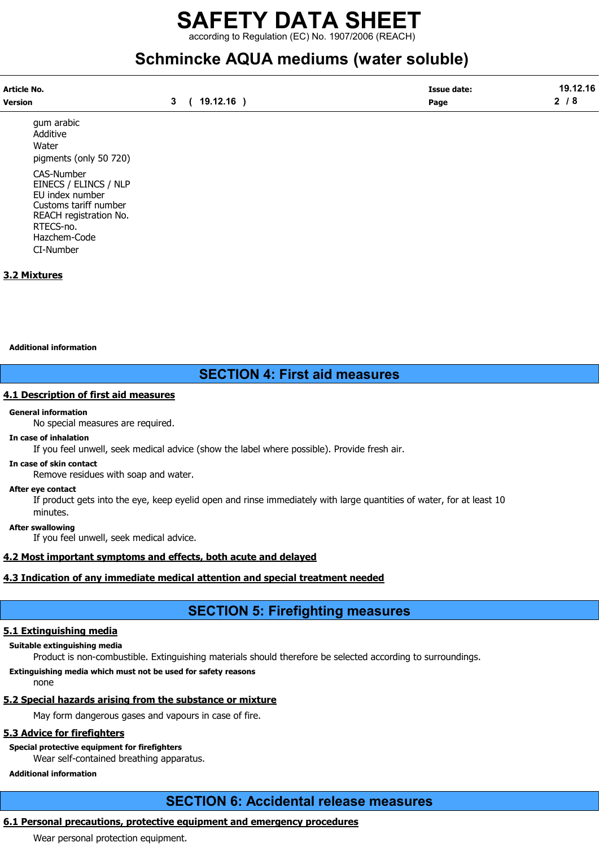according to Regulation (EC) No. 1907/2006 (REACH)

## Schmincke AQUA mediums (water soluble)

| Article No. |          | <b>Issue date:</b> | 19.12.16<br>1 Q |
|-------------|----------|--------------------|-----------------|
| Version     | 19.12.16 | Page               | -<br>. О        |

gum arabic Additive **Water** pigments (only 50 720)

CAS-Number EINECS / ELINCS / NLP EU index number Customs tariff number REACH registration No. RTECS-no. Hazchem-Code CI-Number

## 3.2 Mixtures

Additional information

## SECTION 4: First aid measures

## 4.1 Description of first aid measures

#### General information

No special measures are required.

#### In case of inhalation

If you feel unwell, seek medical advice (show the label where possible). Provide fresh air.

#### In case of skin contact

Remove residues with soap and water.

#### After eye contact

If product gets into the eye, keep eyelid open and rinse immediately with large quantities of water, for at least 10 minutes.

#### After swallowing

If you feel unwell, seek medical advice.

## 4.2 Most important symptoms and effects, both acute and delayed

## 4.3 Indication of any immediate medical attention and special treatment needed

## SECTION 5: Firefighting measures

## 5.1 Extinguishing media

## Suitable extinguishing media

Product is non-combustible. Extinguishing materials should therefore be selected according to surroundings.

## Extinguishing media which must not be used for safety reasons

none

## 5.2 Special hazards arising from the substance or mixture

May form dangerous gases and vapours in case of fire.

## 5.3 Advice for firefighters

## Special protective equipment for firefighters

Wear self-contained breathing apparatus.

## Additional information

## SECTION 6: Accidental release measures

## 6.1 Personal precautions, protective equipment and emergency procedures

Wear personal protection equipment.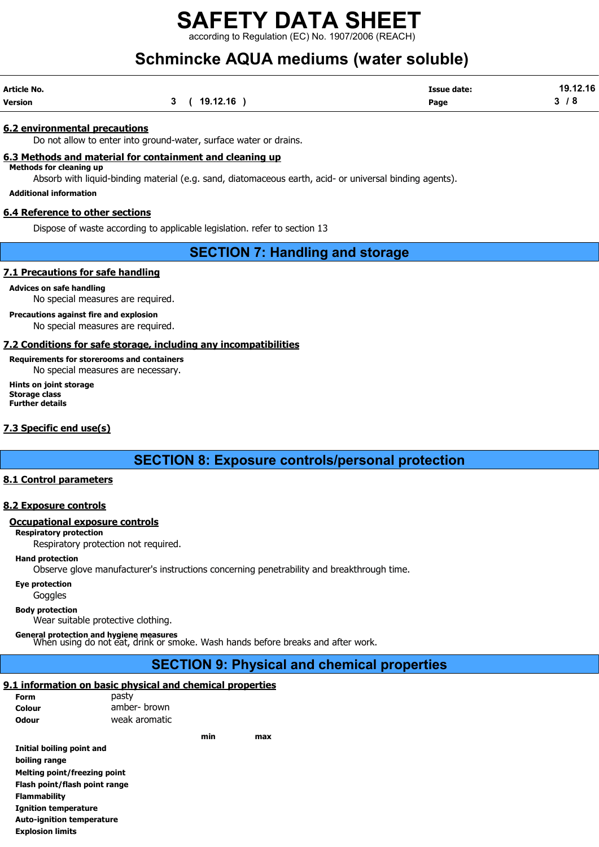according to Regulation (EC) No. 1907/2006 (REACH)

# Schmincke AQUA mediums (water soluble)

| Article No.    |             | <b>Issue date:</b> | 19.12.16  |
|----------------|-------------|--------------------|-----------|
| <b>Version</b> | 3(19.12.16) | Page               | <b>78</b> |

#### 6.2 environmental precautions

Do not allow to enter into ground-water, surface water or drains.

## 6.3 Methods and material for containment and cleaning up

Methods for cleaning up Absorb with liquid-binding material (e.g. sand, diatomaceous earth, acid- or universal binding agents).

Additional information

#### 6.4 Reference to other sections

Dispose of waste according to applicable legislation. refer to section 13

## SECTION 7: Handling and storage

#### 7.1 Precautions for safe handling

Advices on safe handling No special measures are required.

Precautions against fire and explosion No special measures are required.

## 7.2 Conditions for safe storage, including any incompatibilities

## Requirements for storerooms and containers

No special measures are necessary.

Hints on joint storage Storage class Further details

## 7.3 Specific end use(s)

SECTION 8: Exposure controls/personal protection

## 8.1 Control parameters

## 8.2 Exposure controls

#### Occupational exposure controls

#### Respiratory protection

Respiratory protection not required.

#### Hand protection

Observe glove manufacturer's instructions concerning penetrability and breakthrough time.

Eye protection

**Goggles** 

Body protection

Wear suitable protective clothing.

General protection and hygiene measures<br>When using do not eat, drink or smoke. Wash hands before breaks and after work.

## SECTION 9: Physical and chemical properties

## 9.1 information on basic physical and chemical properties

| <b>Form</b>  | pasty         |
|--------------|---------------|
| Colour       | amber- brown  |
| <b>Odour</b> | weak aromatic |

Initial boiling point and boiling range Melting point/freezing point Flash point/flash point range Flammability Ignition temperature Auto-ignition temperature Explosion limits

min max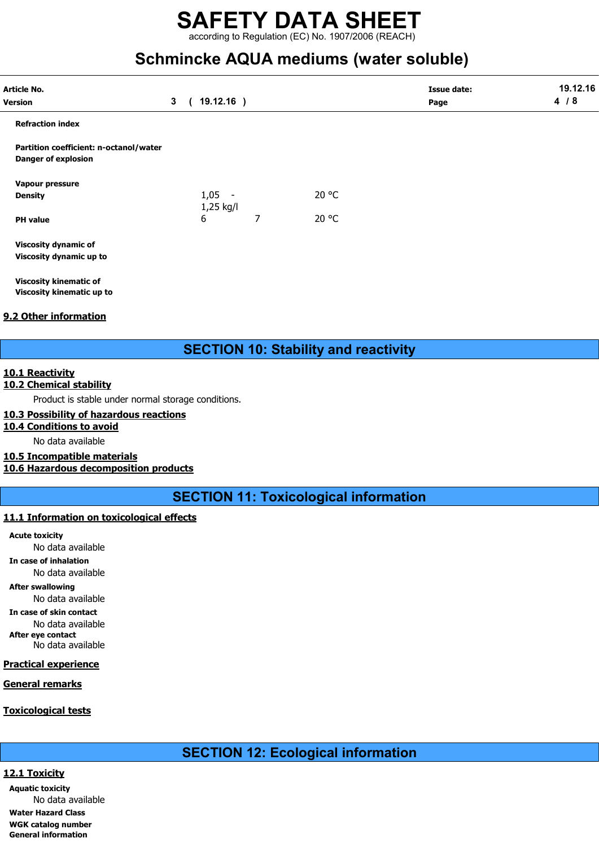according to Regulation (EC) No. 1907/2006 (REACH)

## Schmincke AQUA mediums (water soluble)

| Article No.                                                          |                |            |                       |   |       | <b>Issue date:</b> | 19.12.16 |
|----------------------------------------------------------------------|----------------|------------|-----------------------|---|-------|--------------------|----------|
| <b>Version</b>                                                       | 3 <sup>1</sup> | $\epsilon$ | $19.12.16$ )          |   |       | Page               | 4/8      |
| <b>Refraction index</b>                                              |                |            |                       |   |       |                    |          |
| Partition coefficient: n-octanol/water<br><b>Danger of explosion</b> |                |            |                       |   |       |                    |          |
| Vapour pressure                                                      |                |            |                       |   |       |                    |          |
| Density                                                              |                |            | $1,05 -$<br>1,25 kg/l |   | 20 °C |                    |          |
| <b>PH</b> value                                                      |                |            | 6                     | 7 | 20 °C |                    |          |
| <b>Viscosity dynamic of</b>                                          |                |            |                       |   |       |                    |          |
| Viscosity dynamic up to                                              |                |            |                       |   |       |                    |          |
| <b>Viscosity kinematic of</b>                                        |                |            |                       |   |       |                    |          |
| Viscosity kinematic up to                                            |                |            |                       |   |       |                    |          |

## 9.2 Other information

SECTION 10: Stability and reactivity

## 10.1 Reactivity

## 10.2 Chemical stability

Product is stable under normal storage conditions.

## 10.3 Possibility of hazardous reactions

## 10.4 Conditions to avoid

No data available

## 10.5 Incompatible materials

10.6 Hazardous decomposition products

SECTION 11: Toxicological information

## 11.1 Information on toxicological effects

Acute toxicity

No data available

In case of inhalation No data available

After swallowing

No data available In case of skin contact

No data available After eye contact

No data available

## Practical experience

## General remarks

## Toxicological tests

SECTION 12: Ecological information

## 12.1 Toxicity

Aquatic toxicity No data available Water Hazard Class WGK catalog number General information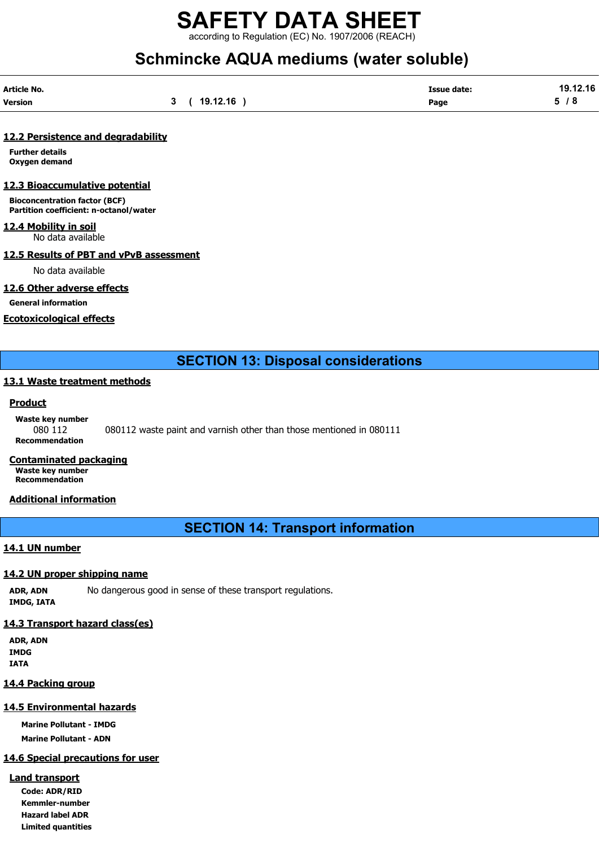according to Regulation (EC) No. 1907/2006 (REACH)

## Schmincke AQUA mediums (water soluble)

| Article No. |          | <b>Issue date:</b> | 19.12.16 |
|-------------|----------|--------------------|----------|
| Version     | 19.12.16 | Page               | Е.<br>o  |

## 12.2 Persistence and degradability

Further details Oxygen demand

## 12.3 Bioaccumulative potential

Bioconcentration factor (BCF) Partition coefficient: n-octanol/water

12.4 Mobility in soil No data available

#### 12.5 Results of PBT and vPvB assessment

No data available

## 12.6 Other adverse effects

General information

## Ecotoxicological effects

## SECTION 13: Disposal considerations

## 13.1 Waste treatment methods

## Product

Waste key number 080 112 080112 waste paint and varnish other than those mentioned in 080111 Recommendation

## Contaminated packaging

Waste key number Recommendation

## Additional information

SECTION 14: Transport information

## 14.1 UN number

## 14.2 UN proper shipping name

ADR, ADN No dangerous good in sense of these transport regulations. IMDG, IATA

## 14.3 Transport hazard class(es)

ADR, ADN IMDG IATA

## 14.4 Packing group

## 14.5 Environmental hazards

Marine Pollutant - IMDG

Marine Pollutant - ADN

## 14.6 Special precautions for user

## Land transport

Code: ADR/RID Kemmler-number Hazard label ADR Limited quantities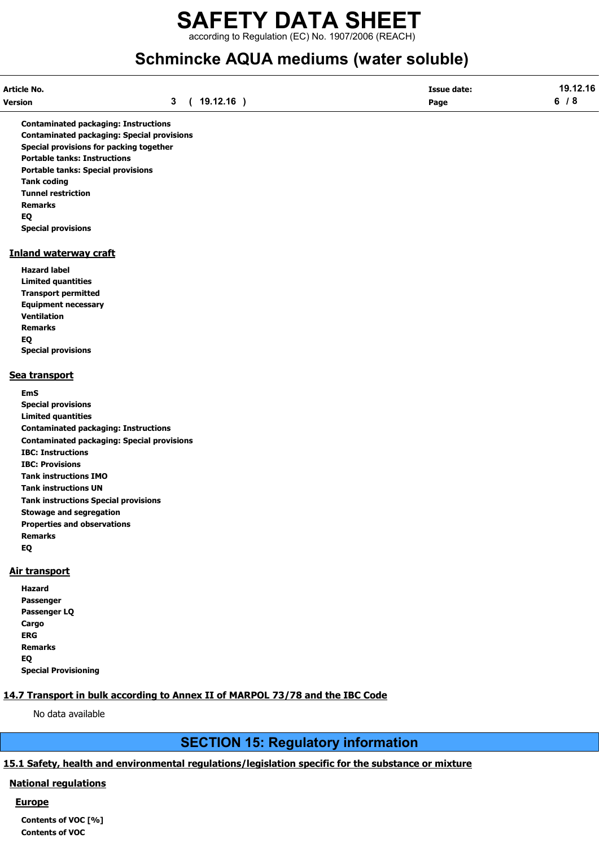## SAFETY DATA SHEET according to Regulation (EC) No. 1907/2006 (REACH)

# Schmincke AQUA mediums (water soluble)

| <b>Article No.</b> |                | Issue date: | 9 12 16 |
|--------------------|----------------|-------------|---------|
| <b>Version</b>     | .12.16<br>-10. | Page        | c.      |

Contaminated packaging: Instructions Contaminated packaging: Special provisions Special provisions for packing together Portable tanks: Instructions Portable tanks: Special provisions Tank coding Tunnel restriction Remarks EQ Special provisions

## Inland waterway craft

Hazard label Limited quantities Transport permitted Equipment necessary Ventilation Remarks EQ Special provisions

## Sea transport

EmS Special provisions Limited quantities Contaminated packaging: Instructions Contaminated packaging: Special provisions IBC: Instructions IBC: Provisions Tank instructions IMO Tank instructions UN Tank instructions Special provisions Stowage and segregation Properties and observations Remarks EQ

## Air transport

| Hazard                      |
|-----------------------------|
| Passenger                   |
| Passenger LO                |
| Cargo                       |
| ERG                         |
| <b>Remarks</b>              |
| EQ                          |
| <b>Special Provisioning</b> |

## 14.7 Transport in bulk according to Annex II of MARPOL 73/78 and the IBC Code

No data available

## SECTION 15: Regulatory information

## 15.1 Safety, health and environmental regulations/legislation specific for the substance or mixture

## National regulations

## Europe

Contents of VOC [%] Contents of VOC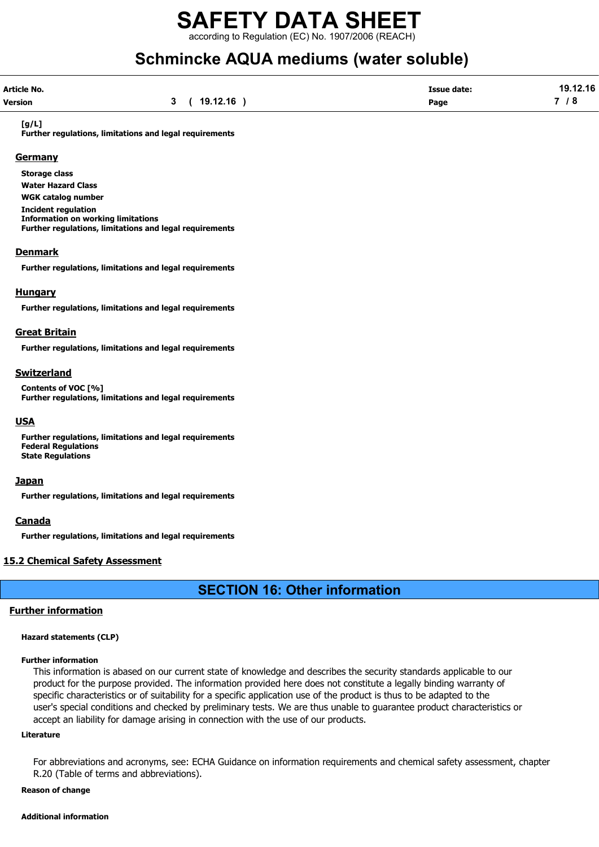according to Regulation (EC) No. 1907/2006 (REACH)

# Schmincke AQUA mediums (water soluble)

| Article No.    |             | <b>Issue date:</b> | 19.12.16 |
|----------------|-------------|--------------------|----------|
| <b>Version</b> | 3(19.12.16) | Page               | 7/8      |

#### [g/L]

Further regulations, limitations and legal requirements

#### **Germany**

Storage class Water Hazard Class WGK catalog number Incident regulation Information on working limitations Further regulations, limitations and legal requirements

#### **Denmark**

Further regulations, limitations and legal requirements

#### Hungary

Further regulations, limitations and legal requirements

#### Great Britain

Further regulations, limitations and legal requirements

#### Switzerland

Contents of VOC [%] Further regulations, limitations and legal requirements

#### USA

Further regulations, limitations and legal requirements Federal Regulations State Regulations

#### **Japan**

Further regulations, limitations and legal requirements

#### **Canada**

Further regulations, limitations and legal requirements

## 15.2 Chemical Safety Assessment

## SECTION 16: Other information

## Further information

#### Hazard statements (CLP)

#### Further information

This information is abased on our current state of knowledge and describes the security standards applicable to our product for the purpose provided. The information provided here does not constitute a legally binding warranty of specific characteristics or of suitability for a specific application use of the product is thus to be adapted to the user's special conditions and checked by preliminary tests. We are thus unable to guarantee product characteristics or accept an liability for damage arising in connection with the use of our products.

#### Literature

For abbreviations and acronyms, see: ECHA Guidance on information requirements and chemical safety assessment, chapter R.20 (Table of terms and abbreviations).

#### Reason of change